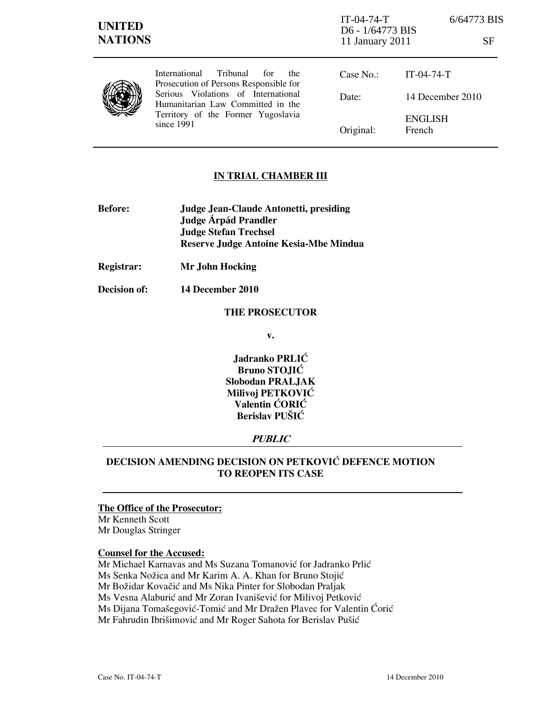| <b>UNITED</b><br><b>NATIONS</b> |                                                                                                                                                                                                                      | $IT-04-74-T$<br>D6 - 1/64773 BIS<br>11 January 2011 | 6/64773 BIS<br>SF        |
|---------------------------------|----------------------------------------------------------------------------------------------------------------------------------------------------------------------------------------------------------------------|-----------------------------------------------------|--------------------------|
|                                 | Tribunal<br>International<br>for<br>the.<br>Prosecution of Persons Responsible for<br>Serious Violations of International<br>Humanitarian Law Committed in the<br>Territory of the Former Yugoslavia<br>since $1991$ | Case No.:                                           | $IT-04-74-T$             |
|                                 |                                                                                                                                                                                                                      | Date:                                               | 14 December 2010         |
|                                 |                                                                                                                                                                                                                      | Original:                                           | <b>ENGLISH</b><br>French |

## IN TRIAL CHAMBER III

- Before: Judge Jean-Claude Antonetti, presiding Judge **Árpád Prandler**  Judge Stefan Trechsel Reserve Judge Antoine Kesia-Mbe Mindua
- Registrar: Mr John Hocking
- Decision of: 14 December 2010

### THE PROSECUTOR

v.

Jadranko PRLIĆ Bruno STOJIĆ Slobodan PRALJAK Milivoj PETKOVIĆ Valentin ĆORIĆ Berislav PUŠIĆ

## PUBLIC

# DECISION AMENDING DECISION ON PETKOVIĆ DEFENCE MOTION TO REOPEN ITS CASE

# The Office of the Prosecutor:

Mr Kenneth Scott Mr Douglas Stringer

#### Counsel for the Accused:

Mr Michael Karnavas and Ms Suzana Tomanović for Jadranko Prlić Ms Senka Nožica and Mr Karim A. A. Khan for Bruno Stojić Mr Božidar Kovačić and Ms Nika Pinter for Slobodan Praljak Ms Vesna Alaburić and Mr Zoran Ivanišević for Milivoj Petković Ms Dijana Tomašegović-Tomić and Mr Dražen Plavec for Valentin Ćorić Mr Fahrudin Ibrišimović and Mr Roger Sahota for Berislav Pušić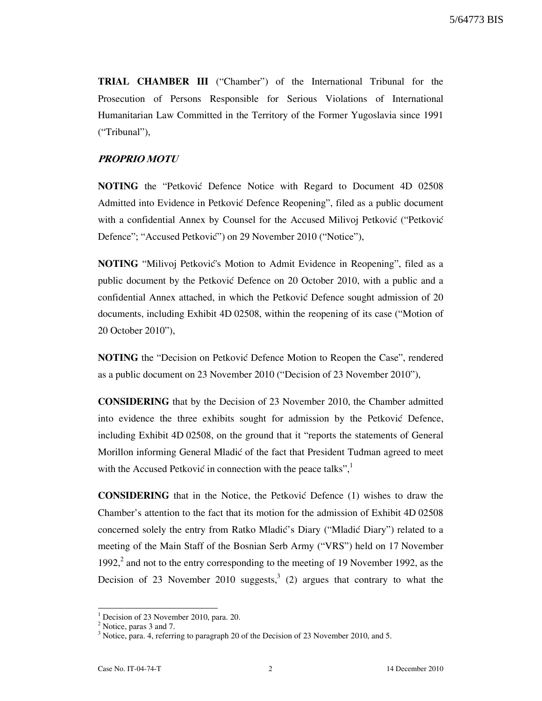TRIAL CHAMBER III ("Chamber") of the International Tribunal for the Prosecution of Persons Responsible for Serious Violations of International Humanitarian Law Committed in the Territory of the Former Yugoslavia since 1991 ("Tribunal"),

## PROPRIO MOTU

**NOTING** the "Petkovic Defence Notice with Regard to Document 4D 02508 Admitted into Evidence in Petković Defence Reopening", filed as a public document with a confidential Annex by Counsel for the Accused Milivoj Petković ("Petković Defence"; "Accused Petković") on 29 November 2010 ("Notice"),

NOTING "Milivoj Petković's Motion to Admit Evidence in Reopening", filed as a public document by the Petković Defence on 20 October 2010, with a public and a confidential Annex attached, in which the Petković Defence sought admission of 20 documents, including Exhibit 4D 02508, within the reopening of its case ("Motion of 20 October 2010"),

NOTING the "Decision on Petković Defence Motion to Reopen the Case", rendered as a public document on 23 November 2010 ("Decision of 23 November 2010"),

CONSIDERING that by the Decision of 23 November 2010, the Chamber admitted into evidence the three exhibits sought for admission by the Petković Defence, including Exhibit 4D 02508, on the ground that it "reports the statements of General Morillon informing General Mladić of the fact that President Tudman agreed to meet with the Accused Petković in connection with the peace talks",

CONSIDERING that in the Notice, the Petković Defence (1) wishes to draw the Chamber's attention to the fact that its motion for the admission of Exhibit 4D 02508 concerned solely the entry from Ratko Mladić's Diary ("Mladić Diary") related to a meeting of the Main Staff of the Bosnian Serb Army ("VRS") held on 17 November 1992, $^2$  and not to the entry corresponding to the meeting of 19 November 1992, as the Decision of 23 November 2010 suggests,<sup>3</sup> (2) argues that contrary to what the

 $\overline{a}$ 

<sup>&</sup>lt;sup>1</sup> Decision of 23 November 2010, para. 20.

<sup>&</sup>lt;sup>2</sup> Notice, paras 3 and 7.

<sup>&</sup>lt;sup>3</sup> Notice, para. 4, referring to paragraph 20 of the Decision of 23 November 2010, and 5.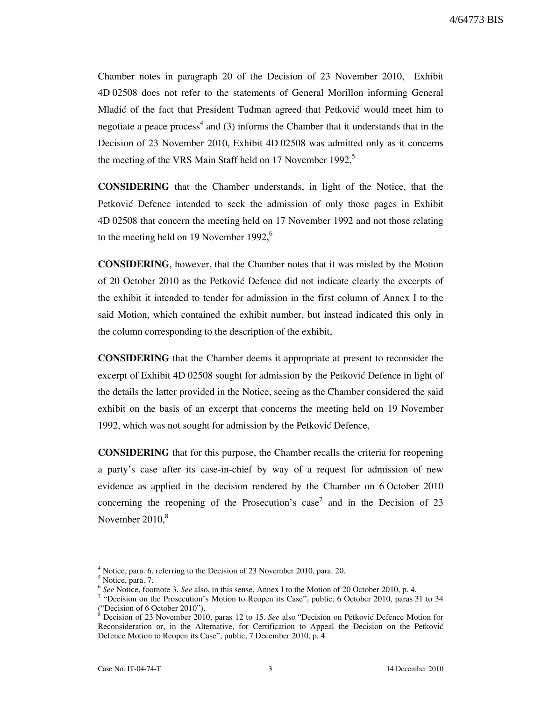Chamber notes in paragraph 20 of the Decision of 23 November 2010, Exhibit 4D 02508 does not refer to the statements of General Morillon informing General Mladić of the fact that President Tudman agreed that Petković would meet him to negotiate a peace process<sup>4</sup> and (3) informs the Chamber that it understands that in the Decision of 23 November 2010, Exhibit 4D 02508 was admitted only as it concerns the meeting of the VRS Main Staff held on 17 November 1992, $5$ 

CONSIDERING that the Chamber understands, in light of the Notice, that the Petković Defence intended to seek the admission of only those pages in Exhibit 4D 02508 that concern the meeting held on 17 November 1992 and not those relating to the meeting held on 19 November 1992, $6$ 

CONSIDERING, however, that the Chamber notes that it was misled by the Motion of 20 October 2010 as the Petković Defence did not indicate clearly the excerpts of the exhibit it intended to tender for admission in the first column of Annex I to the said Motion, which contained the exhibit number, but instead indicated this only in the column corresponding to the description of the exhibit,

CONSIDERING that the Chamber deems it appropriate at present to reconsider the excerpt of Exhibit 4D 02508 sought for admission by the Petković Defence in light of the details the latter provided in the Notice, seeing as the Chamber considered the said exhibit on the basis of an excerpt that concerns the meeting held on 19 November 1992, which was not sought for admission by the Petković Defence,

CONSIDERING that for this purpose, the Chamber recalls the criteria for reopening a party's case after its case-in-chief by way of a request for admission of new evidence as applied in the decision rendered by the Chamber on 6 October 2010 concerning the reopening of the Prosecution's case<sup>7</sup> and in the Decision of 23 November  $2010$ , $8$ 

 $\overline{a}$ 

<sup>&</sup>lt;sup>4</sup> Notice, para. 6, referring to the Decision of 23 November 2010, para. 20.

<sup>&</sup>lt;sup>5</sup> Notice, para. 7.

<sup>&</sup>lt;sup>6</sup> See Notice, footnote 3. See also, in this sense, Annex I to the Motion of 20 October 2010, p. 4.

<sup>&</sup>lt;sup>7</sup> "Decision on the Prosecution's Motion to Reopen its Case", public, 6 October 2010, paras 31 to 34 ("Decision of 6 October 2010").<br><sup>8</sup> Decision of 23 November 2010

Decision of 23 November 2010, paras 12 to 15. See also "Decision on Petković Defence Motion for Reconsideration or, in the Alternative, for Certification to Appeal the Decision on the Petković Defence Motion to Reopen its Case", public, 7 December 2010, p. 4.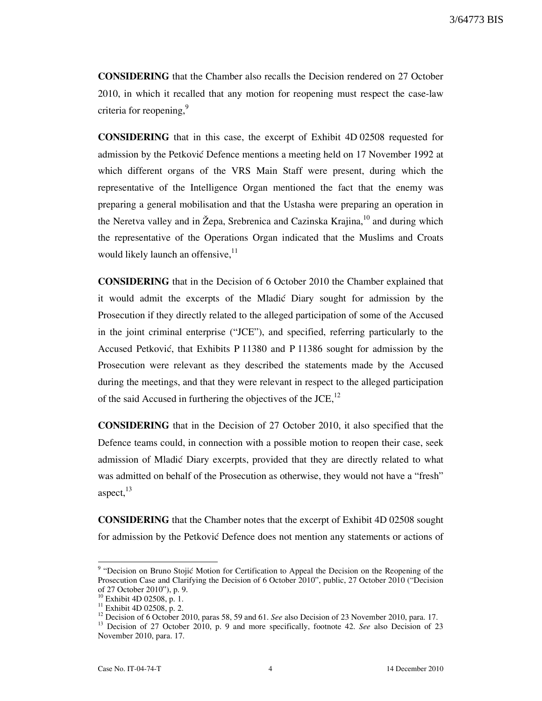CONSIDERING that the Chamber also recalls the Decision rendered on 27 October 2010, in which it recalled that any motion for reopening must respect the case-law criteria for reopening,<sup>9</sup>

CONSIDERING that in this case, the excerpt of Exhibit 4D 02508 requested for admission by the Petković Defence mentions a meeting held on 17 November 1992 at which different organs of the VRS Main Staff were present, during which the representative of the Intelligence Organ mentioned the fact that the enemy was preparing a general mobilisation and that the Ustasha were preparing an operation in the Neretva valley and in Žepa, Srebrenica and Cazinska Krajina,<sup>10</sup> and during which the representative of the Operations Organ indicated that the Muslims and Croats would likely launch an offensive, $^{11}$ 

CONSIDERING that in the Decision of 6 October 2010 the Chamber explained that it would admit the excerpts of the Mladic Diary sought for admission by the Prosecution if they directly related to the alleged participation of some of the Accused in the joint criminal enterprise ("JCE"), and specified, referring particularly to the Accused Petković, that Exhibits P 11380 and P 11386 sought for admission by the Prosecution were relevant as they described the statements made by the Accused during the meetings, and that they were relevant in respect to the alleged participation of the said Accused in furthering the objectives of the  $JCE$ ,<sup>12</sup>

CONSIDERING that in the Decision of 27 October 2010, it also specified that the Defence teams could, in connection with a possible motion to reopen their case, seek admission of Mladić Diary excerpts, provided that they are directly related to what was admitted on behalf of the Prosecution as otherwise, they would not have a "fresh" aspect, $^{13}$ 

CONSIDERING that the Chamber notes that the excerpt of Exhibit 4D 02508 sought for admission by the Petković Defence does not mention any statements or actions of

<sup>&</sup>lt;sup>9</sup> "Decision on Bruno Stojić Motion for Certification to Appeal the Decision on the Reopening of the Prosecution Case and Clarifying the Decision of 6 October 2010", public, 27 October 2010 ("Decision of 27 October 2010"), p. 9.

<sup>&</sup>lt;sup>10</sup> Exhibit 4D 02508, p. 1.

<sup>&</sup>lt;sup>11</sup> Exhibit 4D 02508, p. 2.

<sup>&</sup>lt;sup>12</sup> Decision of 6 October 2010, paras 58, 59 and 61. See also Decision of 23 November 2010, para. 17.

<sup>&</sup>lt;sup>13</sup> Decision of 27 October 2010, p. 9 and more specifically, footnote 42. See also Decision of 23 November 2010, para. 17.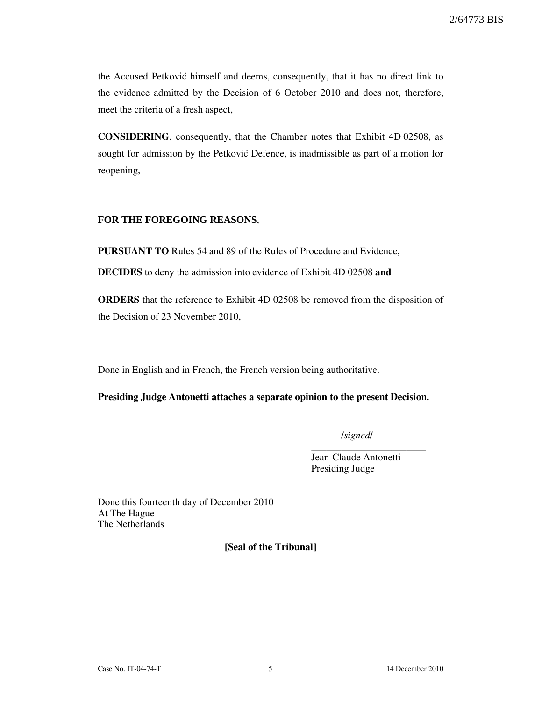the Accused Petković himself and deems, consequently, that it has no direct link to the evidence admitted by the Decision of 6 October 2010 and does not, therefore, meet the criteria of a fresh aspect,

CONSIDERING, consequently, that the Chamber notes that Exhibit 4D 02508, as sought for admission by the Petković Defence, is inadmissible as part of a motion for reopening,

## **FOR THE FOREGOING REASONS**,

PURSUANT TO Rules 54 and 89 of the Rules of Procedure and Evidence,

DECIDES to deny the admission into evidence of Exhibit 4D 02508 and

ORDERS that the reference to Exhibit 4D 02508 be removed from the disposition of the Decision of 23 November 2010,

Done in English and in French, the French version being authoritative.

## Presiding Judge Antonetti attaches a separate opinion to the present Decision.

/signed/

\_\_\_\_\_\_\_\_\_\_\_\_\_\_\_\_\_\_\_\_\_\_\_

Jean-Claude Antonetti Presiding Judge

Done this fourteenth day of December 2010 At The Hague The Netherlands

[Seal of the Tribunal]